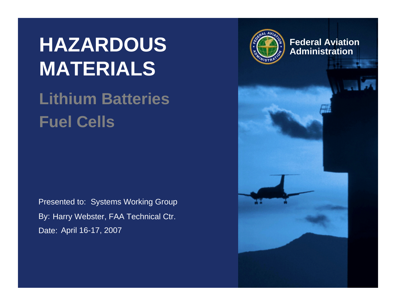# **HAZARDOUS MATERIALS**

### **Lithium BatteriesFuel Cells**

Presented to: Systems Working Group By: Harry Webster, FAA Technical Ctr. Date: April 16-17, 2007



**Federal AviationAdministration**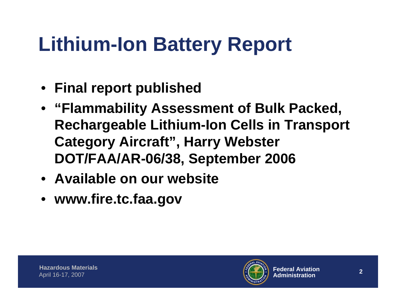# **Lithium-Ion Battery Report**

- **Final report published**
- **"Flammability Assessment of Bulk Packed, Rechargeable Lithium-Ion Cells in Transport Category Aircraft", Harry Webster DOT/FAA/AR-06/38, September 2006**
- **Available on our website**
- **www.fire.tc.faa.gov**

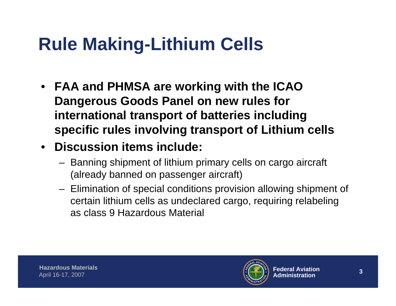## **Rule Making-Lithium Cells**

- **FAA and PHMSA are working with the ICAO Dangerous Goods Panel on new rules for international transport of batteries including specific rules involving transport of Lithium cells**
- **Discussion items include:**
	- Banning shipment of lithium primary cells on cargo aircraft (already banned on passenger aircraft)
	- Elimination of special conditions provision allowing shipment of certain lithium cells as undeclared cargo, requiring relabeling as class 9 Hazardous Material

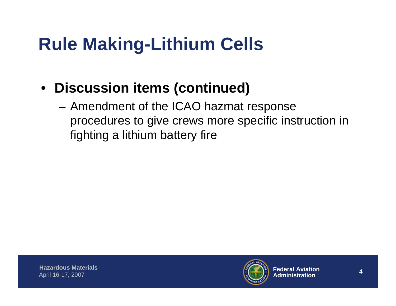## **Rule Making-Lithium Cells**

- **Discussion items (continued)**
	- – Amendment of the ICAO hazmat response procedures to give crews more specific instruction in fighting a lithium battery fire

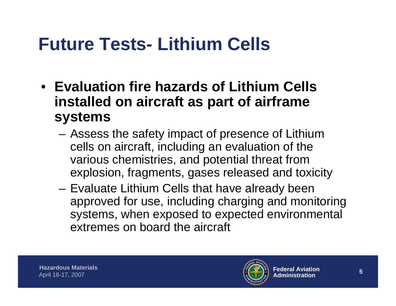### **Future Tests- Lithium Cells**

- **Evaluation fire hazards of Lithium Cells installed on aircraft as part of airframe systems**
	- – Assess the safety impact of presence of Lithium cells on aircraft, including an evaluation of the various chemistries, and potential threat from explosion, fragments, gases released and toxicity
	- **Links of the Company**  Evaluate Lithium Cells that have already been approved for use, including charging and monitoring systems, when exposed to expected environmental extremes on board the aircraft

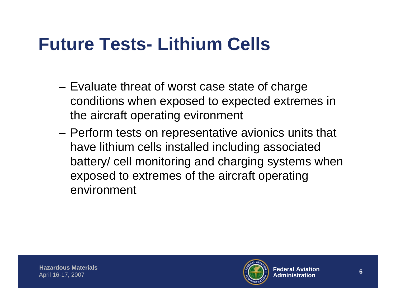### **Future Tests- Lithium Cells**

- – Evaluate threat of worst case state of charge conditions when exposed to expected extremes in the aircraft operating evironment
- **Links of the Company**  Perform tests on representative avionics units that have lithium cells installed including associated battery/ cell monitoring and charging systems when exposed to extremes of the aircraft operating environment

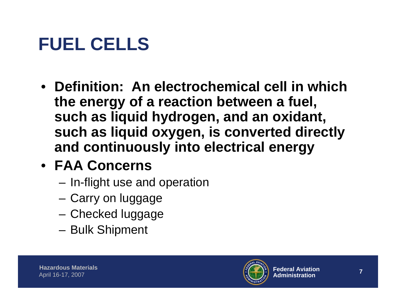## **FUEL CELLS**

• **Definition: An electrochemical cell in which the energy of a reaction between a fuel, such as liquid hydrogen, and an oxidant, such as liquid oxygen, is converted directly and continuously into electrical energy** 

### • **FAA Concerns**

- –In-flight use and operation
- **Links of the Company** Carry on luggage
- and the state of the Checked luggage
- –Bulk Shipment

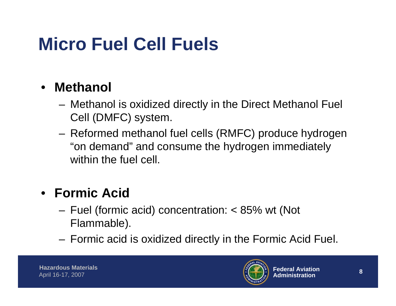## **Micro Fuel Cell Fuels**

#### •**Methanol**

- – Methanol is oxidized directly in the Direct Methanol Fuel Cell (DMFC) system.
- **Links of the Company**  Reformed methanol fuel cells (RMFC) produce hydrogen "on demand" and consume the hydrogen immediately within the fuel cell.

### • **Formic Acid**

- Fuel (formic acid) concentration: < 85% wt (Not Flammable).
- **Links of the Company** Formic acid is oxidized directly in the Formic Acid Fuel.

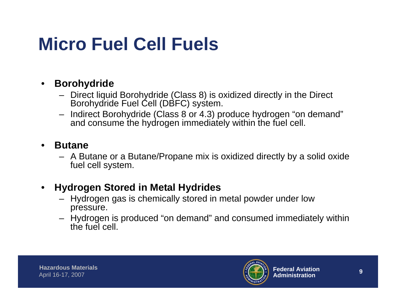### **Micro Fuel Cell Fuels**

#### •**Borohydride**

- – Direct liquid Borohydride (Class 8) is oxidized directly in the Direct Borohydride Fuel Cell (DBFC) system.
- Indirect Borohydride (Class 8 or 4.3) produce hydrogen "on demand" and consume the hydrogen immediately within the fuel cell.

#### •**Butane**

– A Butane or a Butane/Propane mix is oxidized directly by a solid oxide fuel cell system.

#### •**Hydrogen Stored in Metal Hydrides**

- Hydrogen gas is chemically stored in metal powder under low pressure.
- Hydrogen is produced "on demand" and consumed immediately within the fuel cell.

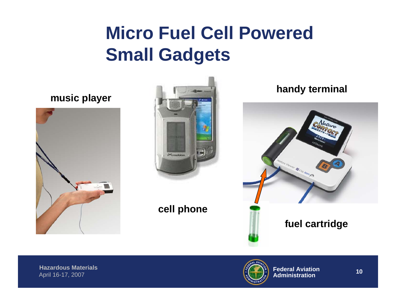### **Micro Fuel Cell Powered Small Gadgets**

### **music player**





### **cell phone**

### **handy terminal**



### **fuel cartridge**

**Hazardous Materials** April 16-17, 2007

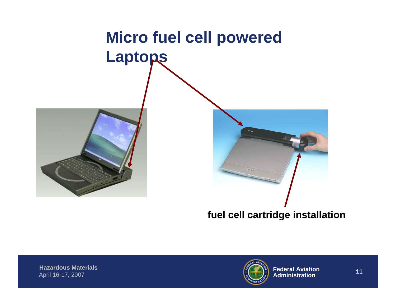

**fuel cell cartridge installation**

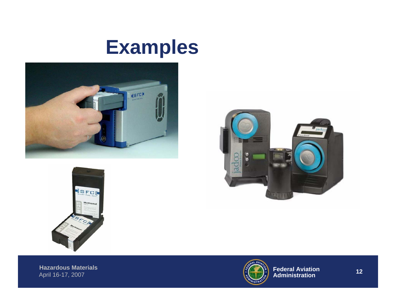### **Examples**







**Hazardous Materials** April 16-17, 2007

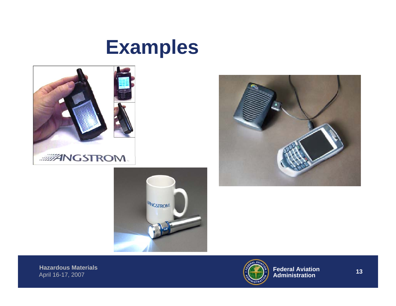### **Examples**







**Hazardous Materials** April 16-17, 2007

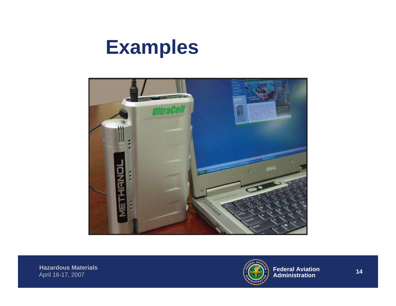### **Examples**